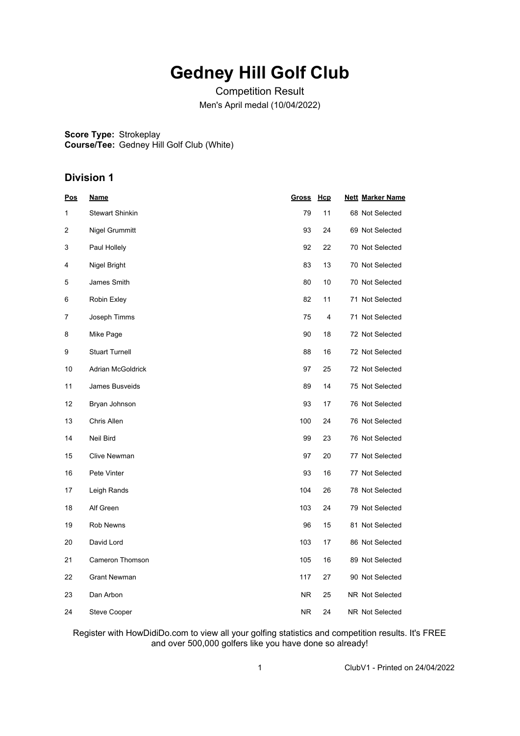## **Gedney Hill Golf Club**

Competition Result Men's April medal (10/04/2022)

**Score Type:** Strokeplay **Course/Tee:** Gedney Hill Golf Club (White)

## **Division 1**

| <u>Pos</u>       | <u>Name</u>            | <b>Gross</b> | Hcp | <b>Nett Marker Name</b> |
|------------------|------------------------|--------------|-----|-------------------------|
| 1                | <b>Stewart Shinkin</b> | 79           | 11  | 68 Not Selected         |
| $\boldsymbol{2}$ | Nigel Grummitt         | 93           | 24  | 69 Not Selected         |
| 3                | Paul Hollely           | 92           | 22  | 70 Not Selected         |
| 4                | Nigel Bright           | 83           | 13  | 70 Not Selected         |
| 5                | James Smith            | 80           | 10  | 70 Not Selected         |
| 6                | Robin Exley            | 82           | 11  | 71 Not Selected         |
| 7                | Joseph Timms           | 75           | 4   | 71 Not Selected         |
| 8                | Mike Page              | 90           | 18  | 72 Not Selected         |
| $\boldsymbol{9}$ | <b>Stuart Turnell</b>  | 88           | 16  | 72 Not Selected         |
| 10               | Adrian McGoldrick      | 97           | 25  | 72 Not Selected         |
| 11               | James Busveids         | 89           | 14  | 75 Not Selected         |
| 12               | Bryan Johnson          | 93           | 17  | 76 Not Selected         |
| 13               | Chris Allen            | 100          | 24  | 76 Not Selected         |
| 14               | Neil Bird              | 99           | 23  | 76 Not Selected         |
| 15               | <b>Clive Newman</b>    | 97           | 20  | 77 Not Selected         |
| 16               | Pete Vinter            | 93           | 16  | 77 Not Selected         |
| 17               | Leigh Rands            | 104          | 26  | 78 Not Selected         |
| 18               | Alf Green              | 103          | 24  | 79 Not Selected         |
| 19               | Rob Newns              | 96           | 15  | 81 Not Selected         |
| 20               | David Lord             | 103          | 17  | 86 Not Selected         |
| 21               | Cameron Thomson        | 105          | 16  | 89 Not Selected         |
| 22               | <b>Grant Newman</b>    | 117          | 27  | 90 Not Selected         |
| 23               | Dan Arbon              | NR.          | 25  | NR Not Selected         |
| 24               | <b>Steve Cooper</b>    | NR.          | 24  | NR Not Selected         |

Register with HowDidiDo.com to view all your golfing statistics and competition results. It's FREE and over 500,000 golfers like you have done so already!